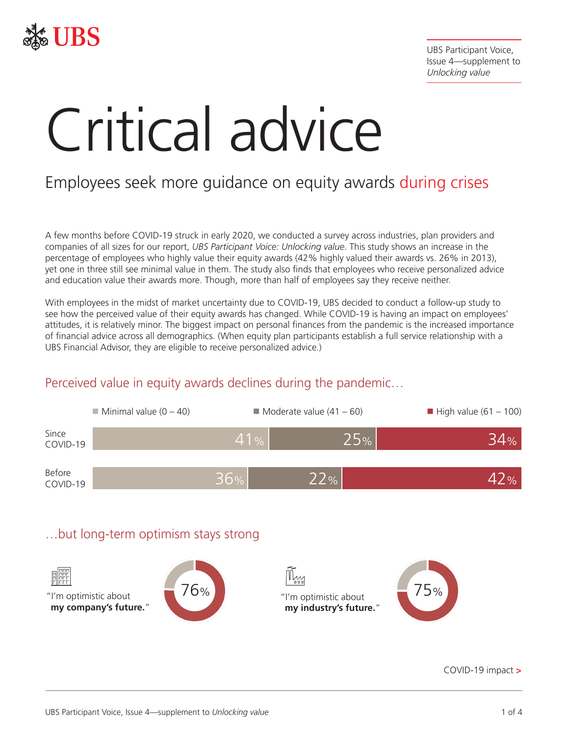

UBS Participant Voice, Issue 4—supplement to *Unlocking value*

# Critical advice

# Employees seek more guidance on equity awards during crises

A few months before COVID-19 struck in early 2020, we conducted a survey across industries, plan providers and companies of all sizes for our report, *UBS Participant Voice: Unlocking value*. This study shows an increase in the percentage of employees who highly value their equity awards (42% highly valued their awards vs. 26% in 2013), yet one in three still see minimal value in them. The study also finds that employees who receive personalized advice and education value their awards more. Though, more than half of employees say they receive neither.

With employees in the midst of market uncertainty due to COVID-19, UBS decided to conduct a follow-up study to see how the perceived value of their equity awards has changed. While COVID-19 is having an impact on employees' attitudes, it is relatively minor. The biggest impact on personal finances from the pandemic is the increased importance of financial advice across all demographics. (When equity plan participants establish a full service relationship with a UBS Financial Advisor, they are eligible to receive personalized advice.)

# $\blacksquare$  Minimal value (0 – 40)  $\blacksquare$  Moderate value (41 – 60)  $\blacksquare$  High value (61 – 100) Before Before  $36\%$  22%  $22\%$ Since COVID-19 41% 25% 34% …but long-term optimism stays strong

# Perceived value in equity awards declines during the pandemic…

"I'm optimistic about **my company's future.**" 76% The Times optimistic about **my industry's future.**"

COVID-19 impact **>**

75%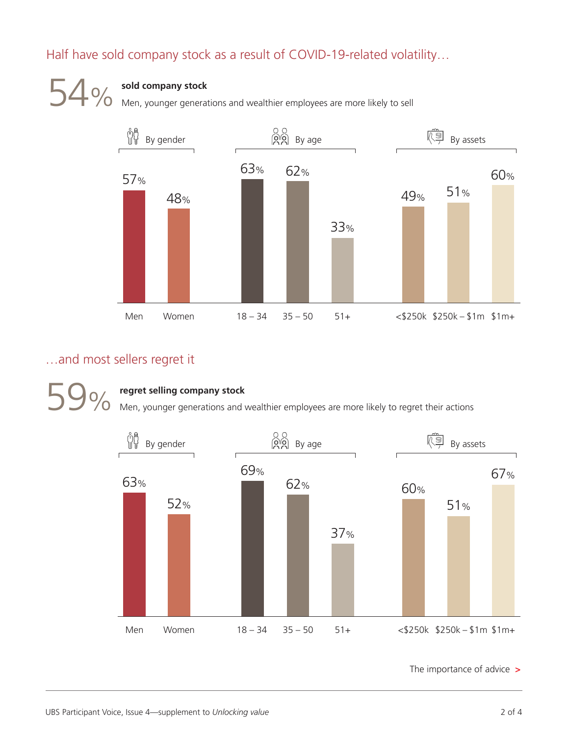# Half have sold company stock as a result of COVID-19-related volatility…



Men, younger generations and wealthier employees are more likely to sell



# …and most sellers regret it

**59 %** regret selling company stock<br>
Men, younger generations and wealthier employees are more likely to regret their actions



The importance of advice **>**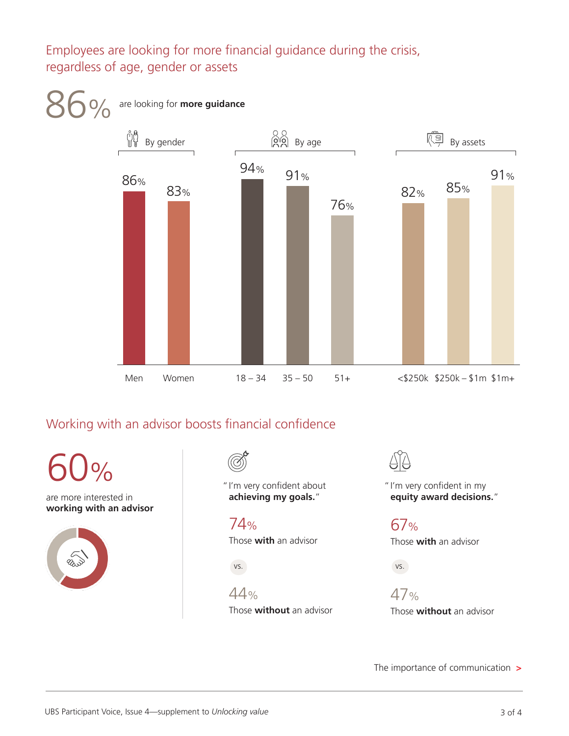Employees are looking for more financial guidance during the crisis, regardless of age, gender or assets



# Working with an advisor boosts financial confidence

are more interested in **working with an advisor** 60%

"I'm very confident about **achieving my goals.**"

74% Those **with** an advisor

vs.

44% Those **without** an advisor

"I'm very confident in my **equity award decisions.**"

67% Those **with** an advisor

vs. VS.

> 47% Those **without** an advisor